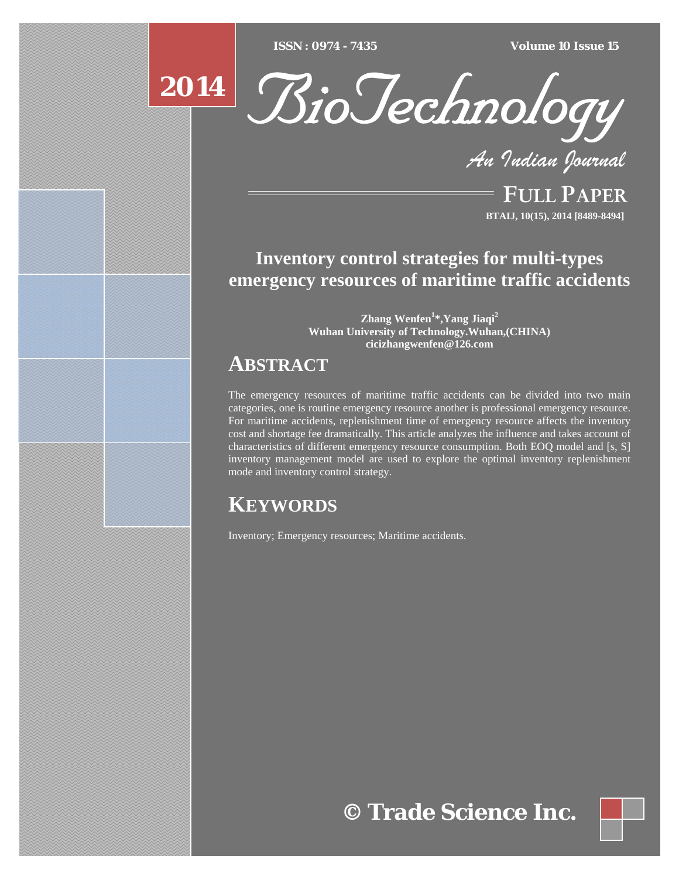$\overline{ISSN} : 0974 - 7435$ 

*ISSN : 0974 - 7435 Volume 10 Issue 15*

# **2014**



*An Indian Journal*

FULL PAPER **BTAIJ, 10(15), 2014 [8489-8494]**

## **Inventory control strategies for multi-types emergency resources of maritime traffic accidents**

**Zhang Wenfen<sup>1</sup> \*,Yang Jiaqi2 Wuhan University of Technology.Wuhan,(CHINA) cicizhangwenfen@126.com** 

# **ABSTRACT**

The emergency resources of maritime traffic accidents can be divided into two main categories, one is routine emergency resource another is professional emergency resource. For maritime accidents, replenishment time of emergency resource affects the inventory cost and shortage fee dramatically. This article analyzes the influence and takes account of characteristics of different emergency resource consumption. Both EOQ model and [s, S] inventory management model are used to explore the optimal inventory replenishment mode and inventory control strategy.

# **KEYWORDS**

Inventory; Emergency resources; Maritime accidents.

**© Trade Science Inc.**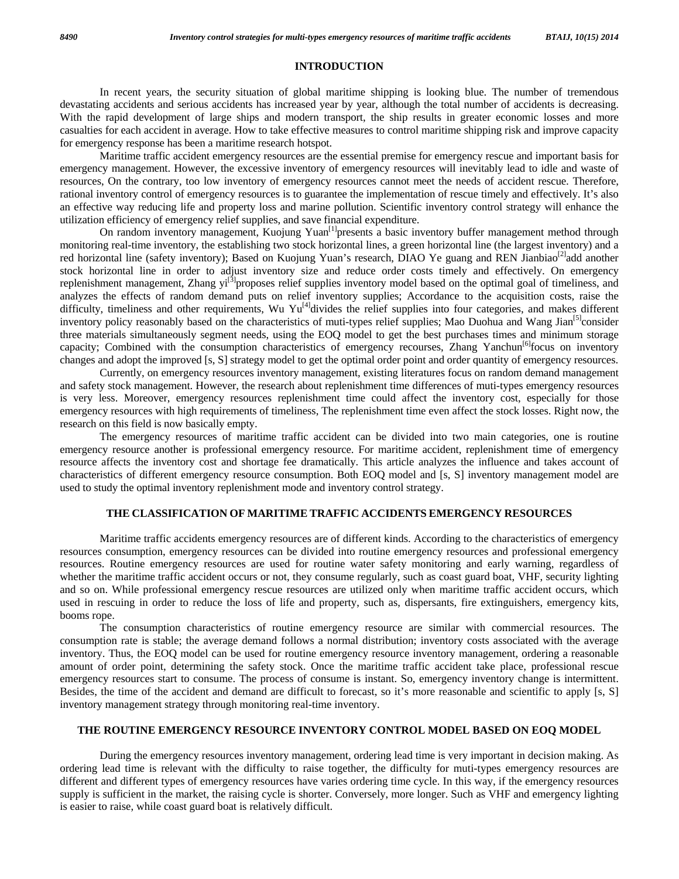#### **INTRODUCTION**

 In recent years, the security situation of global maritime shipping is looking blue. The number of tremendous devastating accidents and serious accidents has increased year by year, although the total number of accidents is decreasing. With the rapid development of large ships and modern transport, the ship results in greater economic losses and more casualties for each accident in average. How to take effective measures to control maritime shipping risk and improve capacity for emergency response has been a maritime research hotspot.

 Maritime traffic accident emergency resources are the essential premise for emergency rescue and important basis for emergency management. However, the excessive inventory of emergency resources will inevitably lead to idle and waste of resources, On the contrary, too low inventory of emergency resources cannot meet the needs of accident rescue. Therefore, rational inventory control of emergency resources is to guarantee the implementation of rescue timely and effectively. It's also an effective way reducing life and property loss and marine pollution. Scientific inventory control strategy will enhance the utilization efficiency of emergency relief supplies, and save financial expenditure.

On random inventory management, Kuojung Yuan<sup>[1]</sup>presents a basic inventory buffer management method through monitoring real-time inventory, the establishing two stock horizontal lines, a green horizontal line (the largest inventory) and a red horizontal line (safety inventory); Based on Kuojung Yuan's research, DIAO Ye guang and REN Jianbiao<sup>[2]</sup>add another stock horizontal line in order to adjust inventory size and reduce order costs timely and effectively. On emergency replenishment management, Zhang  $yi^{[3]}$ proposes relief supplies inventory model based on the optimal goal of timeliness, and analyzes the effects of random demand puts on relief inventory supplies; Accordance to the acquisition costs, raise the difficulty, timeliness and other requirements, Wu Yu<sup>[4]</sup>divides the relief supplies into four categories, and makes different inventory policy reasonably based on the characteristics of muti-types relief supplies; Mao Duohua and Wang Jian<sup>[5]</sup>consider three materials simultaneously segment needs, using the EOQ model to get the best purchases times and minimum storage capacity; Combined with the consumption characteristics of emergency recourses, Zhang Yanchun<sup>[6]</sup>focus on inventory changes and adopt the improved [s, S] strategy model to get the optimal order point and order quantity of emergency resources.

 Currently, on emergency resources inventory management, existing literatures focus on random demand management and safety stock management. However, the research about replenishment time differences of muti-types emergency resources is very less. Moreover, emergency resources replenishment time could affect the inventory cost, especially for those emergency resources with high requirements of timeliness, The replenishment time even affect the stock losses. Right now, the research on this field is now basically empty.

 The emergency resources of maritime traffic accident can be divided into two main categories, one is routine emergency resource another is professional emergency resource. For maritime accident, replenishment time of emergency resource affects the inventory cost and shortage fee dramatically. This article analyzes the influence and takes account of characteristics of different emergency resource consumption. Both EOQ model and [s, S] inventory management model are used to study the optimal inventory replenishment mode and inventory control strategy.

## **THE CLASSIFICATION OF MARITIME TRAFFIC ACCIDENTS EMERGENCY RESOURCES**

 Maritime traffic accidents emergency resources are of different kinds. According to the characteristics of emergency resources consumption, emergency resources can be divided into routine emergency resources and professional emergency resources. Routine emergency resources are used for routine water safety monitoring and early warning, regardless of whether the maritime traffic accident occurs or not, they consume regularly, such as coast guard boat, VHF, security lighting and so on. While professional emergency rescue resources are utilized only when maritime traffic accident occurs, which used in rescuing in order to reduce the loss of life and property, such as, dispersants, fire extinguishers, emergency kits, booms rope.

 The consumption characteristics of routine emergency resource are similar with commercial resources. The consumption rate is stable; the average demand follows a normal distribution; inventory costs associated with the average inventory. Thus, the EOQ model can be used for routine emergency resource inventory management, ordering a reasonable amount of order point, determining the safety stock. Once the maritime traffic accident take place, professional rescue emergency resources start to consume. The process of consume is instant. So, emergency inventory change is intermittent. Besides, the time of the accident and demand are difficult to forecast, so it's more reasonable and scientific to apply [s, S] inventory management strategy through monitoring real-time inventory.

#### **THE ROUTINE EMERGENCY RESOURCE INVENTORY CONTROL MODEL BASED ON EOQ MODEL**

 During the emergency resources inventory management, ordering lead time is very important in decision making. As ordering lead time is relevant with the difficulty to raise together, the difficulty for muti-types emergency resources are different and different types of emergency resources have varies ordering time cycle. In this way, if the emergency resources supply is sufficient in the market, the raising cycle is shorter. Conversely, more longer. Such as VHF and emergency lighting is easier to raise, while coast guard boat is relatively difficult.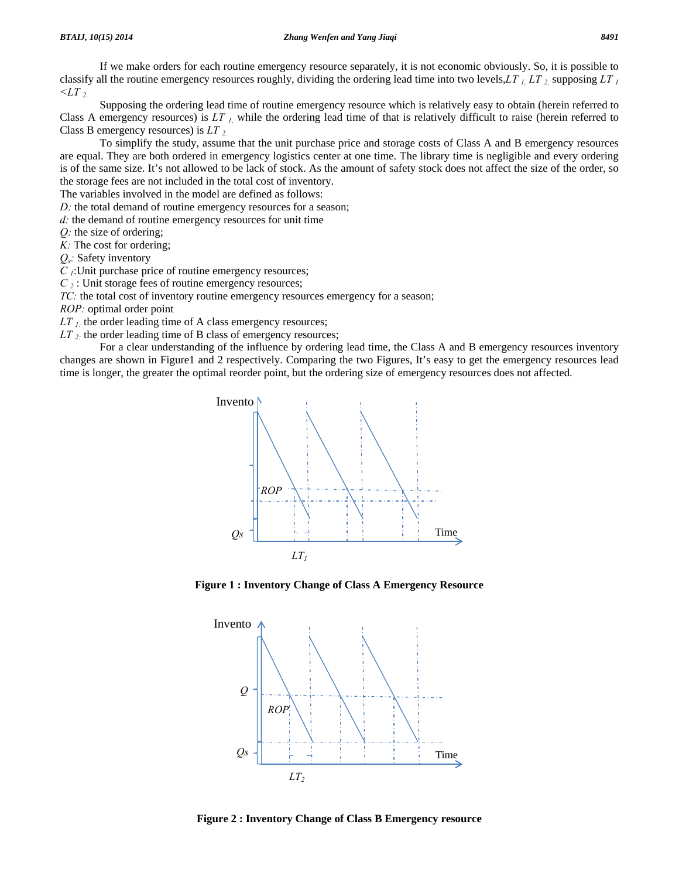If we make orders for each routine emergency resource separately, it is not economic obviously. So, it is possible to classify all the routine emergency resources roughly, dividing the ordering lead time into two levels,*LT 1, LT 2,* supposing *LT 1*  $\langle LT_{2} \rangle$ 

 Supposing the ordering lead time of routine emergency resource which is relatively easy to obtain (herein referred to Class A emergency resources) is *LT 1,* while the ordering lead time of that is relatively difficult to raise (herein referred to Class B emergency resources) is *LT 2.* 

 To simplify the study, assume that the unit purchase price and storage costs of Class A and B emergency resources are equal. They are both ordered in emergency logistics center at one time. The library time is negligible and every ordering is of the same size. It's not allowed to be lack of stock. As the amount of safety stock does not affect the size of the order, so the storage fees are not included in the total cost of inventory.

The variables involved in the model are defined as follows:

*D*: the total demand of routine emergency resources for a season;

*d:* the demand of routine emergency resources for unit time

*Q:* the size of ordering;

*K:* The cost for ordering;

*Qs:* Safety inventory

*C 1*:Unit purchase price of routine emergency resources;

*C*<sub>2</sub>: Unit storage fees of routine emergency resources;

*TC*: the total cost of inventory routine emergency resources emergency for a season;

*ROP:* optimal order point

*LT*<sub>*I*:</sub> the order leading time of A class emergency resources;

*LT*<sub>2:</sub> the order leading time of B class of emergency resources;

 For a clear understanding of the influence by ordering lead time, the Class A and B emergency resources inventory changes are shown in Figure1 and 2 respectively. Comparing the two Figures, It's easy to get the emergency resources lead time is longer, the greater the optimal reorder point, but the ordering size of emergency resources does not affected.



**Figure 1 : Inventory Change of Class A Emergency Resource** 



**Figure 2 : Inventory Change of Class B Emergency resource**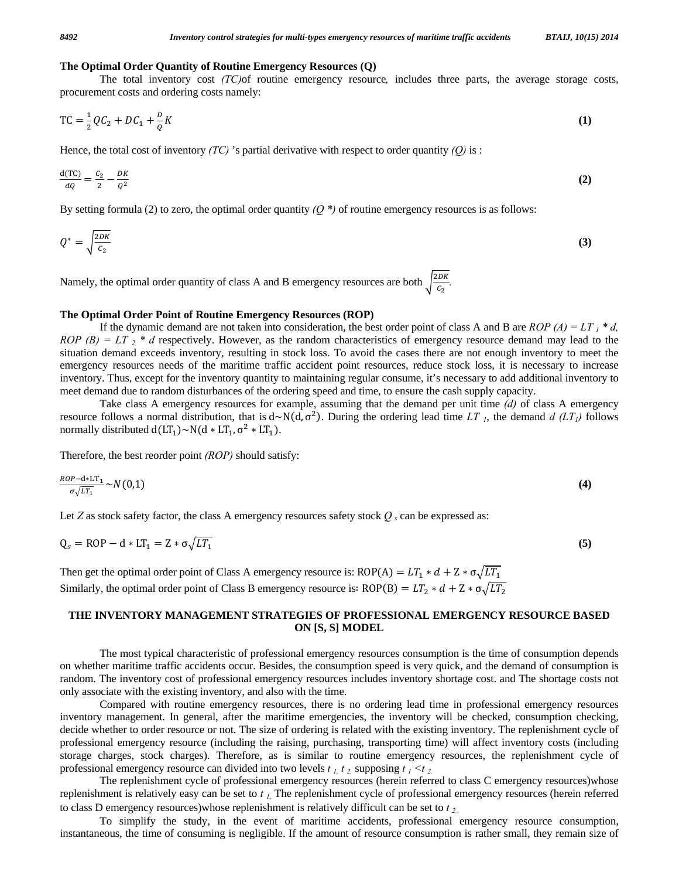#### **The Optimal Order Quantity of Routine Emergency Resources (Q)**

 The total inventory cost *(TC)*of routine emergency resource*,* includes three parts, the average storage costs, procurement costs and ordering costs namely:

$$
TC = \frac{1}{2}QC_2 + DC_1 + \frac{D}{Q}K
$$
 (1)

Hence, the total cost of inventory *(TC)* 's partial derivative with respect to order quantity *(Q)* is :

$$
\frac{\mathrm{d}(\mathrm{TC})}{\mathrm{d}Q} = \frac{c_2}{2} - \frac{DK}{Q^2} \tag{2}
$$

By setting formula (2) to zero, the optimal order quantity *(Q \*)* of routine emergency resources is as follows:

$$
Q^* = \sqrt{\frac{2DK}{c_2}}\tag{3}
$$

Namely, the optimal order quantity of class A and B emergency resources are both  $\sqrt{\frac{2DK}{c_2}}$ .

#### **The Optimal Order Point of Routine Emergency Resources (ROP)**

If the dynamic demand are not taken into consideration, the best order point of class A and B are *ROP* (A) = LT<sub>1</sub> \* d,  $ROP$  (B) =  $LT_2$  \* d respectively. However, as the random characteristics of emergency resource demand may lead to the situation demand exceeds inventory, resulting in stock loss. To avoid the cases there are not enough inventory to meet the emergency resources needs of the maritime traffic accident point resources, reduce stock loss, it is necessary to increase inventory. Thus, except for the inventory quantity to maintaining regular consume, it's necessary to add additional inventory to meet demand due to random disturbances of the ordering speed and time, to ensure the cash supply capacity.

 Take class A emergency resources for example, assuming that the demand per unit time *(d)* of class A emergency resource follows a normal distribution, that is  $d \sim N(d, σ^2)$ . During the ordering lead time *LT<sub>1</sub>*, the demand *d* (*LT<sub>1</sub>*) follows normally distributed  $d(LT_1) \sim N(d * LT_1, \sigma^2 * LT_1)$ .

Therefore, the best reorder point *(ROP)* should satisfy:

$$
\frac{ROP - d * LT_1}{\sigma \sqrt{LT_1}} \sim N(0,1) \tag{4}
$$

Let *Z* as stock safety factor, the class A emergency resources safety stock  $Q_s$  can be expressed as:

$$
Q_s = ROP - d * LT_1 = Z * \sigma \sqrt{LT_1}
$$
\n<sup>(5)</sup>

Then get the optimal order point of Class A emergency resource is: ROP(A) =  $LT_1 * d + Z * \sigma \sqrt{LT_1}$ Similarly, the optimal order point of Class B emergency resource is: ROP(B) =  $LT_2 * d + Z * \sigma \sqrt{LT_2}$ 

## **THE INVENTORY MANAGEMENT STRATEGIES OF PROFESSIONAL EMERGENCY RESOURCE BASED ON [S, S] MODEL**

 The most typical characteristic of professional emergency resources consumption is the time of consumption depends on whether maritime traffic accidents occur. Besides, the consumption speed is very quick, and the demand of consumption is random. The inventory cost of professional emergency resources includes inventory shortage cost. and The shortage costs not only associate with the existing inventory, and also with the time.

 Compared with routine emergency resources, there is no ordering lead time in professional emergency resources inventory management. In general, after the maritime emergencies, the inventory will be checked, consumption checking, decide whether to order resource or not. The size of ordering is related with the existing inventory. The replenishment cycle of professional emergency resource (including the raising, purchasing, transporting time) will affect inventory costs (including storage charges, stock charges). Therefore, as is similar to routine emergency resources, the replenishment cycle of professional emergency resource can divided into two levels *t 1, t 2,* supposing *t 1 <t 2.* 

 The replenishment cycle of professional emergency resources (herein referred to class C emergency resources)whose replenishment is relatively easy can be set to *t 1,* The replenishment cycle of professional emergency resources (herein referred to class D emergency resources)whose replenishment is relatively difficult can be set to *t 2*。

 To simplify the study, in the event of maritime accidents, professional emergency resource consumption, instantaneous, the time of consuming is negligible. If the amount of resource consumption is rather small, they remain size of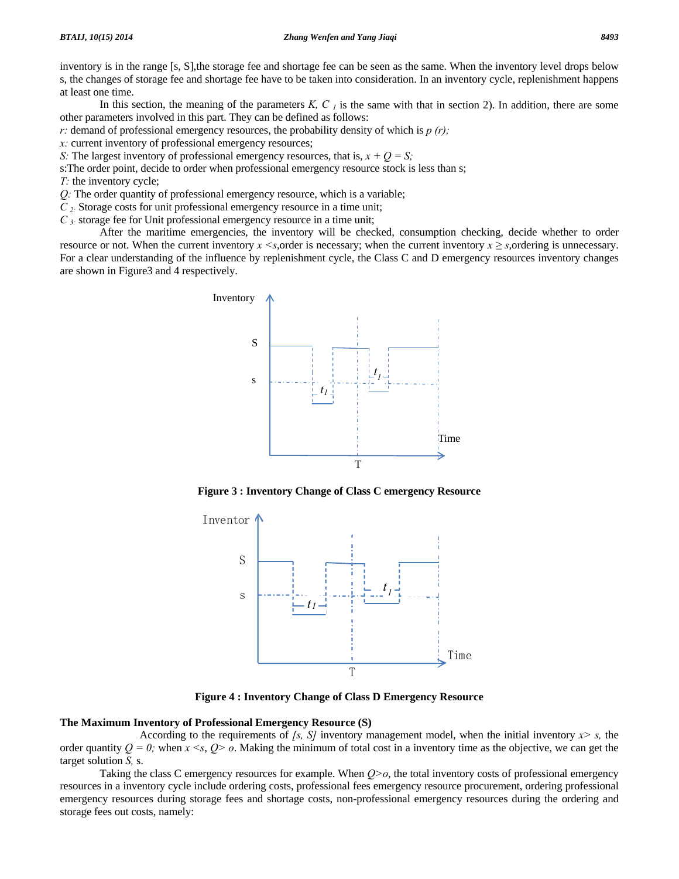inventory is in the range [s, S],the storage fee and shortage fee can be seen as the same. When the inventory level drops below s, the changes of storage fee and shortage fee have to be taken into consideration. In an inventory cycle, replenishment happens at least one time.

In this section, the meaning of the parameters  $K, C<sub>l</sub>$  is the same with that in section 2). In addition, there are some other parameters involved in this part. They can be defined as follows:

*r:* demand of professional emergency resources, the probability density of which is *p (r);* 

*x:* current inventory of professional emergency resources;

*S*: The largest inventory of professional emergency resources, that is,  $x + Q = S$ ;

s:The order point, decide to order when professional emergency resource stock is less than s;

*T:* the inventory cycle;

*Q:* The order quantity of professional emergency resource, which is a variable;

*C 2:* Storage costs for unit professional emergency resource in a time unit;

*C 3:* storage fee for Unit professional emergency resource in a time unit;

 After the maritime emergencies, the inventory will be checked, consumption checking, decide whether to order resource or not. When the current inventory  $x \leq s$ , order is necessary; when the current inventory  $x \geq s$ , ordering is unnecessary. For a clear understanding of the influence by replenishment cycle, the Class C and D emergency resources inventory changes are shown in Figure3 and 4 respectively.



**Figure 3 : Inventory Change of Class C emergency Resource** 



**Figure 4 : Inventory Change of Class D Emergency Resource** 

### **The Maximum Inventory of Professional Emergency Resource (S)**

 According to the requirements of *[s, S]* inventory management model, when the initial inventory *x> s,* the order quantity  $Q = 0$ ; when  $x \le s$ ,  $Q > 0$ . Making the minimum of total cost in a inventory time as the objective, we can get the target solution *S,* s.

 Taking the class C emergency resources for example. When *Q>o*, the total inventory costs of professional emergency resources in a inventory cycle include ordering costs, professional fees emergency resource procurement, ordering professional emergency resources during storage fees and shortage costs, non-professional emergency resources during the ordering and storage fees out costs, namely: